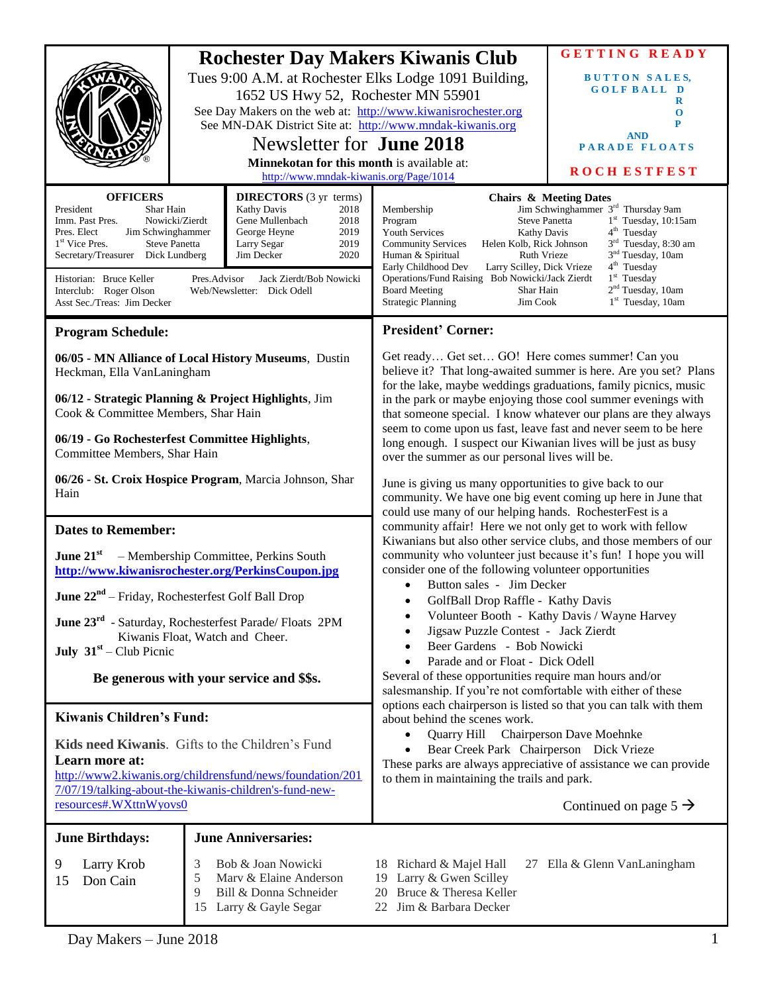|                                                                                                                                                                                                                                                                                                                                                                                                                                                                                                                                    |             | 1652 US Hwy 52, Rochester MN 55901<br>Newsletter for <b>June 2018</b><br>Minnekotan for this month is available at:<br>http://www.mndak-kiwanis.org/Page/1014 | <b>Rochester Day Makers Kiwanis Club</b><br>Tues 9:00 A.M. at Rochester Elks Lodge 1091 Building,<br>See Day Makers on the web at: http://www.kiwanisrochester.org<br>See MN-DAK District Site at: http://www.mndak-kiwanis.org                                                                                                                                                                                                                                                                                    | <b>GETTING READY</b><br><b>BUTTON SALES,</b><br><b>GOLFBALL D</b><br>R<br>$\mathbf 0$<br>P<br><b>AND</b><br><b>PARADE FLOATS</b><br><b>ROCHESTFEST</b>                                                                                                                                                  |
|------------------------------------------------------------------------------------------------------------------------------------------------------------------------------------------------------------------------------------------------------------------------------------------------------------------------------------------------------------------------------------------------------------------------------------------------------------------------------------------------------------------------------------|-------------|---------------------------------------------------------------------------------------------------------------------------------------------------------------|--------------------------------------------------------------------------------------------------------------------------------------------------------------------------------------------------------------------------------------------------------------------------------------------------------------------------------------------------------------------------------------------------------------------------------------------------------------------------------------------------------------------|---------------------------------------------------------------------------------------------------------------------------------------------------------------------------------------------------------------------------------------------------------------------------------------------------------|
| <b>OFFICERS</b><br><b>DIRECTORS</b> (3 yr terms)<br>Kathy Davis<br>President<br>Shar Hain<br>2018<br>Gene Mullenbach<br>Imm. Past Pres.<br>Nowicki/Zierdt<br>2018<br>Jim Schwinghammer<br>George Heyne<br>2019<br>Pres. Elect<br>2019<br>1 <sup>st</sup> Vice Pres.<br><b>Steve Panetta</b><br>Larry Segar<br>2020<br>Secretary/Treasurer Dick Lundberg<br>Jim Decker<br>Jack Zierdt/Bob Nowicki<br>Historian: Bruce Keller<br>Pres.Advisor<br>Interclub: Roger Olson<br>Web/Newsletter: Dick Odell<br>Asst Sec./Treas: Jim Decker |             |                                                                                                                                                               | Membership<br>Program<br><b>Steve Panetta</b><br><b>Youth Services</b><br><b>Kathy Davis</b><br><b>Community Services</b><br>Helen Kolb, Rick Johnson<br>Human & Spiritual<br><b>Ruth Vrieze</b><br>Early Childhood Dev<br>Larry Scilley, Dick Vrieze<br>Operations/Fund Raising Bob Nowicki/Jack Zierdt<br><b>Board Meeting</b><br>Shar Hain<br><b>Strategic Planning</b><br>Jim Cook                                                                                                                             | <b>Chairs &amp; Meeting Dates</b><br>Jim Schwinghammer 3 <sup>rd</sup> Thursday 9am<br>$1st$ Tuesday, 10:15am<br>4 <sup>th</sup> Tuesday<br>3 <sup>rd</sup> Tuesday, 8:30 am<br>3 <sup>nd</sup> Tuesday, 10am<br>4 <sup>th</sup> Tuesday<br>$1st$ Tuesday<br>$2nd$ Tuesday, 10am<br>$1st$ Tuesday, 10am |
| <b>Program Schedule:</b>                                                                                                                                                                                                                                                                                                                                                                                                                                                                                                           |             |                                                                                                                                                               | <b>President' Corner:</b>                                                                                                                                                                                                                                                                                                                                                                                                                                                                                          |                                                                                                                                                                                                                                                                                                         |
| 06/05 - MN Alliance of Local History Museums, Dustin<br>Heckman, Ella VanLaningham<br>06/12 - Strategic Planning & Project Highlights, Jim<br>Cook & Committee Members, Shar Hain                                                                                                                                                                                                                                                                                                                                                  |             |                                                                                                                                                               | Get ready Get set GO! Here comes summer! Can you<br>believe it? That long-awaited summer is here. Are you set? Plans<br>for the lake, maybe weddings graduations, family picnics, music<br>in the park or maybe enjoying those cool summer evenings with<br>that someone special. I know whatever our plans are they always<br>seem to come upon us fast, leave fast and never seem to be here<br>long enough. I suspect our Kiwanian lives will be just as busy<br>over the summer as our personal lives will be. |                                                                                                                                                                                                                                                                                                         |
| 06/19 - Go Rochesterfest Committee Highlights,<br>Committee Members, Shar Hain                                                                                                                                                                                                                                                                                                                                                                                                                                                     |             |                                                                                                                                                               |                                                                                                                                                                                                                                                                                                                                                                                                                                                                                                                    |                                                                                                                                                                                                                                                                                                         |
| 06/26 - St. Croix Hospice Program, Marcia Johnson, Shar<br>Hain                                                                                                                                                                                                                                                                                                                                                                                                                                                                    |             |                                                                                                                                                               | June is giving us many opportunities to give back to our<br>community. We have one big event coming up here in June that<br>could use many of our helping hands. RochesterFest is a                                                                                                                                                                                                                                                                                                                                |                                                                                                                                                                                                                                                                                                         |
| <b>Dates to Remember:</b>                                                                                                                                                                                                                                                                                                                                                                                                                                                                                                          |             |                                                                                                                                                               | community affair! Here we not only get to work with fellow                                                                                                                                                                                                                                                                                                                                                                                                                                                         |                                                                                                                                                                                                                                                                                                         |
| June $21^{st}$<br>- Membership Committee, Perkins South<br>http://www.kiwanisrochester.org/PerkinsCoupon.jpg                                                                                                                                                                                                                                                                                                                                                                                                                       |             |                                                                                                                                                               | Kiwanians but also other service clubs, and those members of our<br>community who volunteer just because it's fun! I hope you will<br>consider one of the following volunteer opportunities                                                                                                                                                                                                                                                                                                                        |                                                                                                                                                                                                                                                                                                         |
| <b>June <math>22^{nd}</math></b> – Friday, Rochesterfest Golf Ball Drop                                                                                                                                                                                                                                                                                                                                                                                                                                                            |             |                                                                                                                                                               | Button sales - Jim Decker<br>GolfBall Drop Raffle - Kathy Davis                                                                                                                                                                                                                                                                                                                                                                                                                                                    |                                                                                                                                                                                                                                                                                                         |
| June 23 <sup>rd</sup> - Saturday, Rochesterfest Parade/ Floats 2PM<br>Kiwanis Float, Watch and Cheer.<br><b>July</b> $31st - Club Picnic$<br>Be generous with your service and \$\$s.                                                                                                                                                                                                                                                                                                                                              |             |                                                                                                                                                               | Volunteer Booth - Kathy Davis / Wayne Harvey<br>٠<br>Jigsaw Puzzle Contest - Jack Zierdt<br>Beer Gardens - Bob Nowicki<br>Parade and or Float - Dick Odell<br>Several of these opportunities require man hours and/or<br>salesmanship. If you're not comfortable with either of these                                                                                                                                                                                                                              |                                                                                                                                                                                                                                                                                                         |
| <b>Kiwanis Children's Fund:</b>                                                                                                                                                                                                                                                                                                                                                                                                                                                                                                    |             |                                                                                                                                                               | options each chairperson is listed so that you can talk with them<br>about behind the scenes work.                                                                                                                                                                                                                                                                                                                                                                                                                 |                                                                                                                                                                                                                                                                                                         |
| Kids need Kiwanis. Gifts to the Children's Fund<br>Learn more at:<br>http://www2.kiwanis.org/childrensfund/news/foundation/201<br>7/07/19/talking-about-the-kiwanis-children's-fund-new-<br>resources#.WXttnWyovs0                                                                                                                                                                                                                                                                                                                 |             |                                                                                                                                                               | Quarry Hill Chairperson Dave Moehnke<br>$\bullet$<br>Bear Creek Park Chairperson Dick Vrieze<br>These parks are always appreciative of assistance we can provide<br>to them in maintaining the trails and park.<br>Continued on page $5 \rightarrow$                                                                                                                                                                                                                                                               |                                                                                                                                                                                                                                                                                                         |
| <b>June Birthdays:</b>                                                                                                                                                                                                                                                                                                                                                                                                                                                                                                             |             | <b>June Anniversaries:</b>                                                                                                                                    |                                                                                                                                                                                                                                                                                                                                                                                                                                                                                                                    |                                                                                                                                                                                                                                                                                                         |
| 9<br>Larry Krob<br>Don Cain<br>15                                                                                                                                                                                                                                                                                                                                                                                                                                                                                                  | 3<br>5<br>9 | Bob & Joan Nowicki<br>Marv & Elaine Anderson<br>Bill & Donna Schneider<br>15 Larry & Gayle Segar                                                              | 18 Richard & Majel Hall<br>19 Larry & Gwen Scilley<br>Bruce & Theresa Keller<br>20<br>Jim & Barbara Decker<br>22                                                                                                                                                                                                                                                                                                                                                                                                   | 27 Ella & Glenn VanLaningham                                                                                                                                                                                                                                                                            |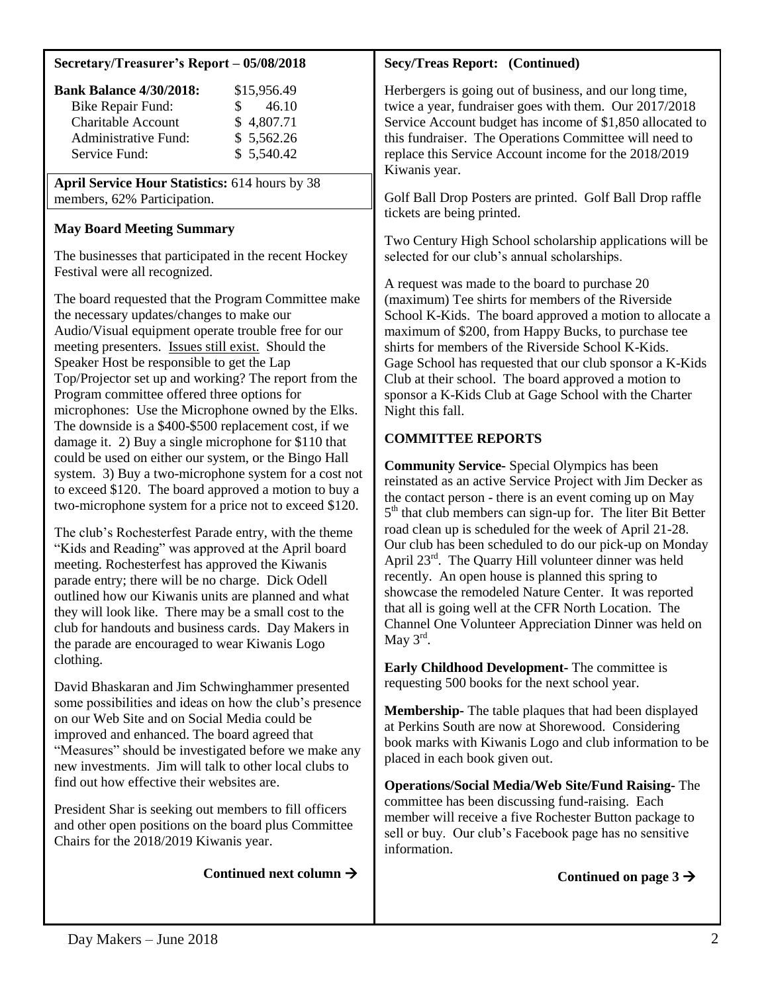#### **Secretary/Treasurer's Report – 05/08/2018**

| <b>Bank Balance 4/30/2018:</b> | \$15,956.49  |
|--------------------------------|--------------|
| <b>Bike Repair Fund:</b>       | 46.10<br>SS. |
| <b>Charitable Account</b>      | \$4,807.71   |
| <b>Administrative Fund:</b>    | \$5,562.26   |
| Service Fund:                  | \$5,540.42   |

**April Service Hour Statistics:** 614 hours by 38 members, 62% Participation.

## **May Board Meeting Summary**

The businesses that participated in the recent Hockey Festival were all recognized.

The board requested that the Program Committee make the necessary updates/changes to make our Audio/Visual equipment operate trouble free for our meeting presenters. Issues still exist. Should the Speaker Host be responsible to get the Lap Top/Projector set up and working? The report from the Program committee offered three options for microphones: Use the Microphone owned by the Elks. The downside is a \$400-\$500 replacement cost, if we damage it. 2) Buy a single microphone for \$110 that could be used on either our system, or the Bingo Hall system. 3) Buy a two-microphone system for a cost not to exceed \$120. The board approved a motion to buy a two-microphone system for a price not to exceed \$120.

The club's Rochesterfest Parade entry, with the theme "Kids and Reading" was approved at the April board meeting. Rochesterfest has approved the Kiwanis parade entry; there will be no charge. Dick Odell outlined how our Kiwanis units are planned and what they will look like. There may be a small cost to the club for handouts and business cards. Day Makers in the parade are encouraged to wear Kiwanis Logo clothing.

David Bhaskaran and Jim Schwinghammer presented some possibilities and ideas on how the club's presence on our Web Site and on Social Media could be improved and enhanced. The board agreed that "Measures" should be investigated before we make any new investments. Jim will talk to other local clubs to find out how effective their websites are.

President Shar is seeking out members to fill officers and other open positions on the board plus Committee Chairs for the 2018/2019 Kiwanis year.

Continued next column  $\rightarrow$ 

# **Secy/Treas Report: (Continued)**

Herbergers is going out of business, and our long time, twice a year, fundraiser goes with them. Our 2017/2018 Service Account budget has income of \$1,850 allocated to this fundraiser. The Operations Committee will need to replace this Service Account income for the 2018/2019 Kiwanis year.

Golf Ball Drop Posters are printed. Golf Ball Drop raffle tickets are being printed.

Two Century High School scholarship applications will be selected for our club's annual scholarships.

A request was made to the board to purchase 20 (maximum) Tee shirts for members of the Riverside School K-Kids. The board approved a motion to allocate a maximum of \$200, from Happy Bucks, to purchase tee shirts for members of the Riverside School K-Kids. Gage School has requested that our club sponsor a K-Kids Club at their school. The board approved a motion to sponsor a K-Kids Club at Gage School with the Charter Night this fall.

# **COMMITTEE REPORTS**

**Community Service-** Special Olympics has been reinstated as an active Service Project with Jim Decker as the contact person - there is an event coming up on May 5<sup>th</sup> that club members can sign-up for. The liter Bit Better road clean up is scheduled for the week of April 21-28. Our club has been scheduled to do our pick-up on Monday April 23rd. The Quarry Hill volunteer dinner was held recently. An open house is planned this spring to showcase the remodeled Nature Center. It was reported that all is going well at the CFR North Location. The Channel One Volunteer Appreciation Dinner was held on May  $3^{\text{rd}}$ .

**Early Childhood Development-** The committee is requesting 500 books for the next school year.

**Membership-** The table plaques that had been displayed at Perkins South are now at Shorewood. Considering book marks with Kiwanis Logo and club information to be placed in each book given out.

**Operations/Social Media/Web Site/Fund Raising-** The committee has been discussing fund-raising. Each member will receive a five Rochester Button package to sell or buy. Our club's Facebook page has no sensitive information.

Continued on page  $3\rightarrow$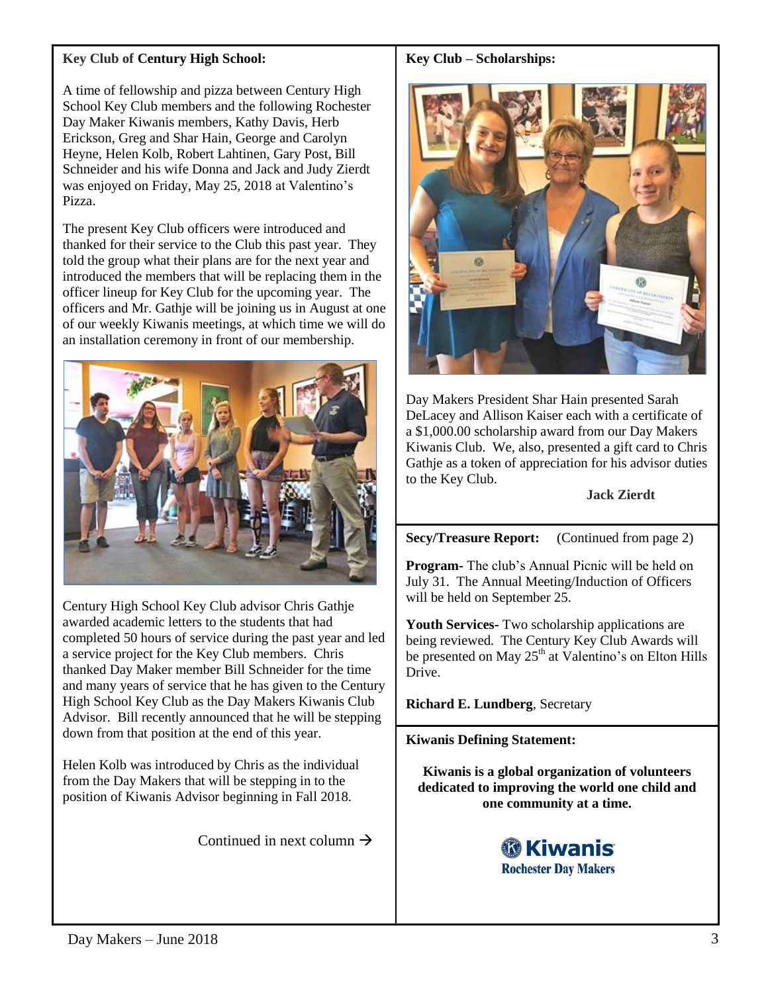# **Key Club of Century High School:**

A time of fellowship and pizza between Century High School Key Club members and the following Rochester Day Maker Kiwanis members, Kathy Davis, Herb Erickson, Greg and Shar Hain, George and Carolyn Heyne, Helen Kolb, Robert Lahtinen, Gary Post, Bill Schneider and his wife Donna and Jack and Judy Zierdt was enjoyed on Friday, May 25, 2018 at Valentino's Pizza.

The present Key Club officers were introduced and thanked for their service to the Club this past year. They told the group what their plans are for the next year and introduced the members that will be replacing them in the officer lineup for Key Club for the upcoming year. The officers and Mr. Gathje will be joining us in August at one of our weekly Kiwanis meetings, at which time we will do an installation ceremony in front of our membership.



Century High School Key Club advisor Chris Gathje awarded academic letters to the students that had completed 50 hours of service during the past year and led a service project for the Key Club members. Chris thanked Day Maker member Bill Schneider for the time and many years of service that he has given to the Century High School Key Club as the Day Makers Kiwanis Club Advisor. Bill recently announced that he will be stepping down from that position at the end of this year.

Helen Kolb was introduced by Chris as the individual from the Day Makers that will be stepping in to the position of Kiwanis Advisor beginning in Fall 2018.

Continued in next column  $\rightarrow$ 

### **Key Club – Scholarships:**



Day Makers President Shar Hain presented Sarah DeLacey and Allison Kaiser each with a certificate of a \$1,000.00 scholarship award from our Day Makers Kiwanis Club. We, also, presented a gift card to Chris Gathje as a token of appreciation for his advisor duties to the Key Club.

#### **Jack Zierdt**

**Secy/Treasure Report:** (Continued from page 2)

**Program-** The club's Annual Picnic will be held on July 31. The Annual Meeting/Induction of Officers will be held on September 25.

**Youth Services-** Two scholarship applications are being reviewed. The Century Key Club Awards will be presented on May  $25<sup>th</sup>$  at Valentino's on Elton Hills Drive.

**Richard E. Lundberg**, Secretary

## **Kiwanis Defining Statement:**

**Kiwanis is a global organization of volunteers dedicated to improving the world one child and one community at a time.**

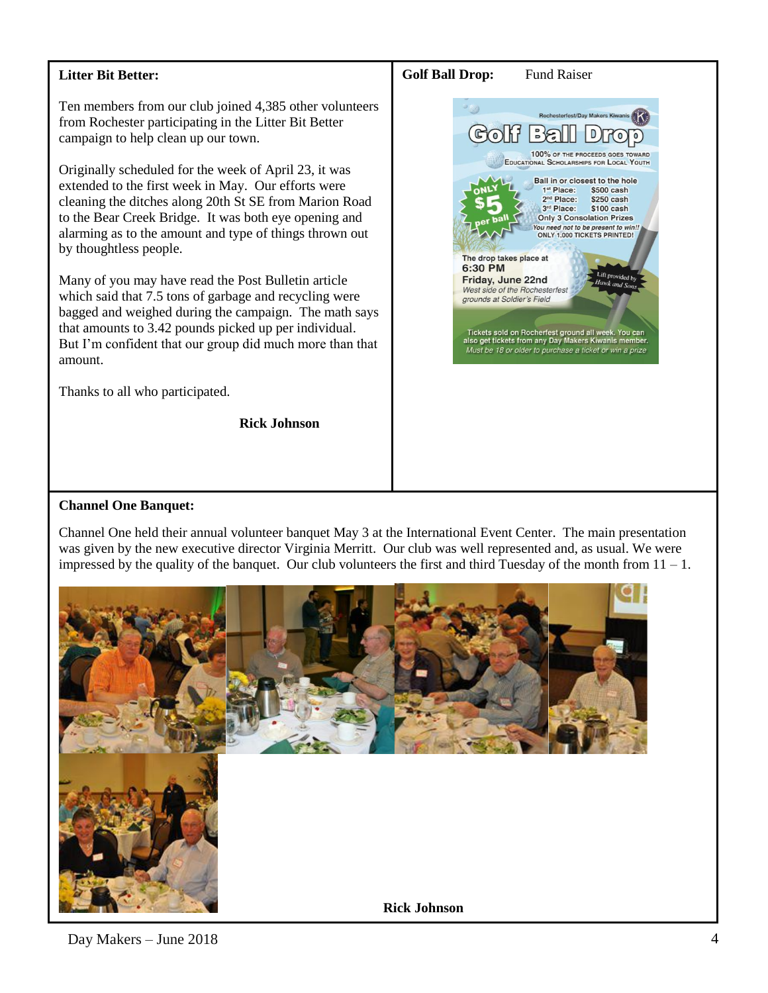## **Litter Bit Better:**

Ten members from our club joined 4,385 other volunteers from Rochester participating in the Litter Bit Better campaign to help clean up our town.

Originally scheduled for the week of April 23, it was extended to the first week in May. Our efforts were cleaning the ditches along 20th St SE from Marion Road to the Bear Creek Bridge. It was both eye opening and alarming as to the amount and type of things thrown out by thoughtless people.

Many of you may have read the Post Bulletin article which said that 7.5 tons of garbage and recycling were bagged and weighed during the campaign. The math says that amounts to 3.42 pounds picked up per individual. But I'm confident that our group did much more than that amount.

Thanks to all who participated.

**Rick Johnson** 

#### **Golf Ball Drop:** Fund Raiser referent/Deut Med  $\mathbb{E}$  $\mathbb{G}$ D 100% OF THE PROCEEDS GOES EDUCATIONAL SCHOLARSHIPS FOR LOCAL YOUTH Ball in or closest to the hole 1<sup>st</sup> Place: \$500 cash 2<sup>nd</sup> Place: \$250 cash 3rd Place: \$100 cash **Only 3 Consolation Prizes** You need not to be present to win! ONLY 1,000 TICKETS PRINTED! The drop takes place at 6:30 PM Friday, June 22nd West side of the Rochesterfest grounds at Soldier's Field Tickets sold on Rocherfest ground all week. You<br>also get tickets from any Day Makers Kiwanis me Must be 18 or older to purchase a ticket or win a prize

#### **Channel One Banquet:**

Channel One held their annual volunteer banquet May 3 at the International Event Center. The main presentation was given by the new executive director Virginia Merritt. Our club was well represented and, as usual. We were impressed by the quality of the banquet. Our club volunteers the first and third Tuesday of the month from  $11 - 1$ .



# Day Makers – June 2018 4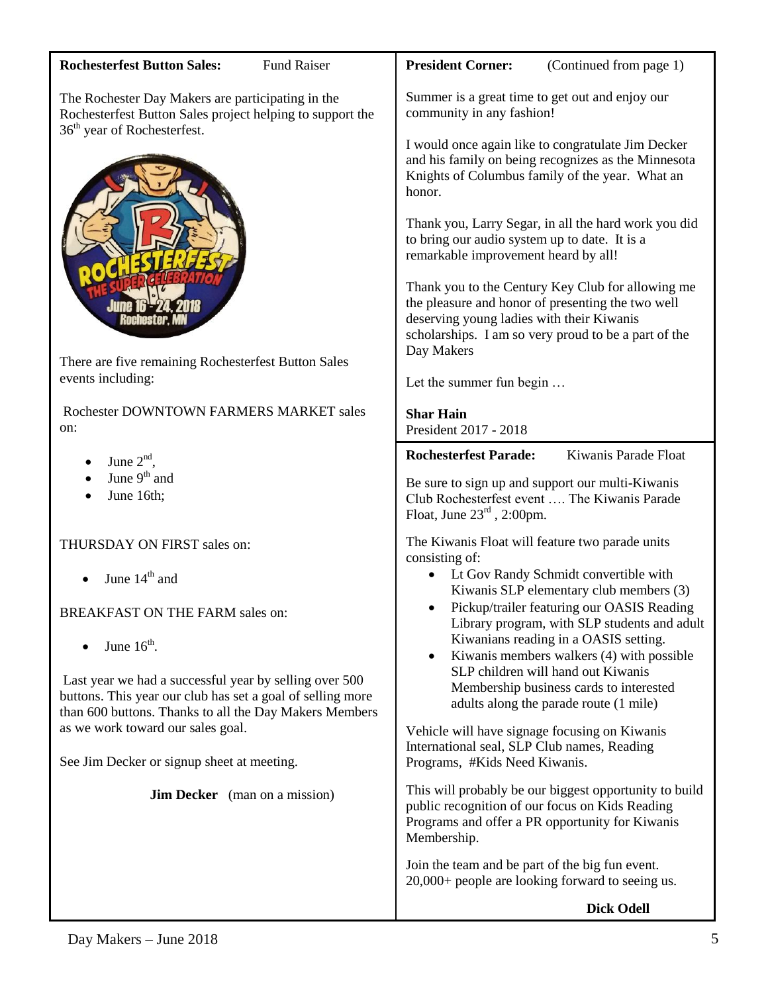| <b>Rochesterfest Button Sales:</b><br><b>Fund Raiser</b>                                                             | <b>President Corner:</b><br>(Continued from page 1)                                                                                                                                                                       |  |
|----------------------------------------------------------------------------------------------------------------------|---------------------------------------------------------------------------------------------------------------------------------------------------------------------------------------------------------------------------|--|
| The Rochester Day Makers are participating in the<br>Rochesterfest Button Sales project helping to support the       | Summer is a great time to get out and enjoy our<br>community in any fashion!                                                                                                                                              |  |
| 36 <sup>th</sup> year of Rochesterfest.                                                                              | I would once again like to congratulate Jim Decker<br>and his family on being recognizes as the Minnesota<br>Knights of Columbus family of the year. What an<br>honor.                                                    |  |
|                                                                                                                      | Thank you, Larry Segar, in all the hard work you did<br>to bring our audio system up to date. It is a<br>remarkable improvement heard by all!                                                                             |  |
|                                                                                                                      | Thank you to the Century Key Club for allowing me<br>the pleasure and honor of presenting the two well<br>deserving young ladies with their Kiwanis<br>scholarships. I am so very proud to be a part of the<br>Day Makers |  |
| There are five remaining Rochesterfest Button Sales<br>events including:                                             | Let the summer fun begin                                                                                                                                                                                                  |  |
| Rochester DOWNTOWN FARMERS MARKET sales<br>on:                                                                       | <b>Shar Hain</b><br>President 2017 - 2018                                                                                                                                                                                 |  |
| June $2nd$ ,                                                                                                         | Kiwanis Parade Float<br><b>Rochesterfest Parade:</b>                                                                                                                                                                      |  |
| June 9 <sup>th</sup> and                                                                                             | Be sure to sign up and support our multi-Kiwanis                                                                                                                                                                          |  |
|                                                                                                                      |                                                                                                                                                                                                                           |  |
| June 16th;                                                                                                           | Club Rochesterfest event  The Kiwanis Parade<br>Float, June $23rd$ , 2:00pm.                                                                                                                                              |  |
| THURSDAY ON FIRST sales on:                                                                                          | The Kiwanis Float will feature two parade units<br>consisting of:                                                                                                                                                         |  |
| June $14th$ and                                                                                                      | Lt Gov Randy Schmidt convertible with                                                                                                                                                                                     |  |
| BREAKFAST ON THE FARM sales on:                                                                                      | Kiwanis SLP elementary club members (3)<br>Pickup/trailer featuring our OASIS Reading<br>Library program, with SLP students and adult                                                                                     |  |
| June $16^{\text{th}}$ .                                                                                              | Kiwanians reading in a OASIS setting.<br>Kiwanis members walkers (4) with possible<br>$\bullet$                                                                                                                           |  |
| Last year we had a successful year by selling over 500<br>buttons. This year our club has set a goal of selling more | SLP children will hand out Kiwanis<br>Membership business cards to interested                                                                                                                                             |  |
| than 600 buttons. Thanks to all the Day Makers Members                                                               | adults along the parade route (1 mile)                                                                                                                                                                                    |  |
| as we work toward our sales goal.<br>See Jim Decker or signup sheet at meeting.                                      | Vehicle will have signage focusing on Kiwanis<br>International seal, SLP Club names, Reading<br>Programs, #Kids Need Kiwanis.                                                                                             |  |
| <b>Jim Decker</b> (man on a mission)                                                                                 | This will probably be our biggest opportunity to build<br>public recognition of our focus on Kids Reading<br>Programs and offer a PR opportunity for Kiwanis<br>Membership.                                               |  |
|                                                                                                                      | Join the team and be part of the big fun event.<br>20,000+ people are looking forward to seeing us.                                                                                                                       |  |